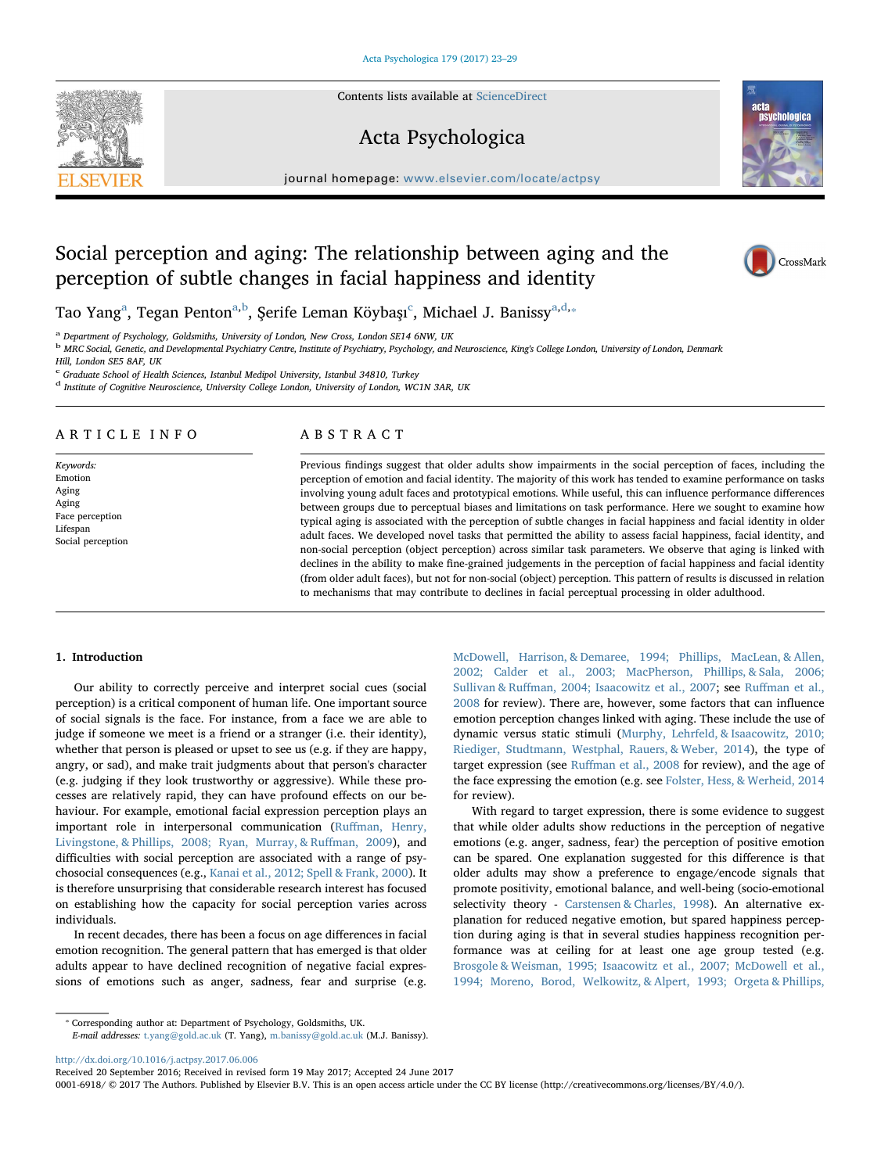Contents lists available at [ScienceDirect](http://www.sciencedirect.com/science/journal/00016918)

# Acta Psychologica

journal homepage: [www.elsevier.com/locate/actpsy](http://www.elsevier.com/locate/actpsy)

# Social perception and aging: The relationship between aging and the perception of subtle changes in facial happiness and identity

T[a](#page-0-0)o Yang<sup>a</sup>, Tegan Penton<sup>a[,b](#page-0-1)</sup>, Şerife Leman Köybaşı<sup>[c](#page-0-2)</sup>, Michael J. Banissy<sup>a[,d,](#page-0-3)</sup>\*

<span id="page-0-0"></span><sup>a</sup> Department of Psychology, Goldsmiths, University of London, New Cross, London SE14 6NW, UK

<span id="page-0-1"></span><sup>b</sup> MRC Social, Genetic, and Developmental Psychiatry Centre, Institute of Psychiatry, Psychology, and Neuroscience, King's College London, University of London, Denmark

Hill, London SE5 8AF, UK

<span id="page-0-2"></span><sup>c</sup> Graduate School of Health Sciences, Istanbul Medipol University, Istanbul 34810, Turkey

<span id="page-0-3"></span><sup>d</sup> Institute of Cognitive Neuroscience, University College London, University of London, WC1N 3AR, UK

## ARTICLE INFO

Keywords: Emotion Aging Aging Face perception Lifespan Social perception

# ABSTRACT

Previous findings suggest that older adults show impairments in the social perception of faces, including the perception of emotion and facial identity. The majority of this work has tended to examine performance on tasks involving young adult faces and prototypical emotions. While useful, this can influence performance differences between groups due to perceptual biases and limitations on task performance. Here we sought to examine how typical aging is associated with the perception of subtle changes in facial happiness and facial identity in older adult faces. We developed novel tasks that permitted the ability to assess facial happiness, facial identity, and non-social perception (object perception) across similar task parameters. We observe that aging is linked with declines in the ability to make fine-grained judgements in the perception of facial happiness and facial identity (from older adult faces), but not for non-social (object) perception. This pattern of results is discussed in relation to mechanisms that may contribute to declines in facial perceptual processing in older adulthood.

## 1. Introduction

Our ability to correctly perceive and interpret social cues (social perception) is a critical component of human life. One important source of social signals is the face. For instance, from a face we are able to judge if someone we meet is a friend or a stranger (i.e. their identity), whether that person is pleased or upset to see us (e.g. if they are happy, angry, or sad), and make trait judgments about that person's character (e.g. judging if they look trustworthy or aggressive). While these processes are relatively rapid, they can have profound effects on our behaviour. For example, emotional facial expression perception plays an important role in interpersonal communication (Ruff[man, Henry,](#page-6-0) [Livingstone, & Phillips, 2008; Ryan, Murray, & Ru](#page-6-0)ffman, 2009), and difficulties with social perception are associated with a range of psychosocial consequences (e.g., [Kanai et al., 2012; Spell & Frank, 2000](#page-6-1)). It is therefore unsurprising that considerable research interest has focused on establishing how the capacity for social perception varies across individuals.

In recent decades, there has been a focus on age differences in facial emotion recognition. The general pattern that has emerged is that older adults appear to have declined recognition of negative facial expressions of emotions such as anger, sadness, fear and surprise (e.g.

<span id="page-0-4"></span>⁎ Corresponding author at: Department of Psychology, Goldsmiths, UK.

[McDowell, Harrison, & Demaree, 1994; Phillips, MacLean, & Allen,](#page-6-2) [2002; Calder et al., 2003; MacPherson, Phillips, & Sala, 2006;](#page-6-2) Sullivan & Ruff[man, 2004; Isaacowitz et al., 2007](#page-6-2); see Ruff[man et al.,](#page-6-0) [2008](#page-6-0) for review). There are, however, some factors that can influence emotion perception changes linked with aging. These include the use of dynamic versus static stimuli [\(Murphy, Lehrfeld, & Isaacowitz, 2010;](#page-6-3) [Riediger, Studtmann, Westphal, Rauers, & Weber, 2014](#page-6-3)), the type of target expression (see Ruff[man et al., 2008](#page-6-0) for review), and the age of the face expressing the emotion (e.g. see [Folster, Hess, & Werheid, 2014](#page-6-4) for review).

With regard to target expression, there is some evidence to suggest that while older adults show reductions in the perception of negative emotions (e.g. anger, sadness, fear) the perception of positive emotion can be spared. One explanation suggested for this difference is that older adults may show a preference to engage/encode signals that promote positivity, emotional balance, and well-being (socio-emotional selectivity theory - [Carstensen & Charles, 1998\)](#page-6-5). An alternative explanation for reduced negative emotion, but spared happiness perception during aging is that in several studies happiness recognition performance was at ceiling for at least one age group tested (e.g. [Brosgole & Weisman, 1995; Isaacowitz et al., 2007; McDowell et al.,](#page-5-0) [1994; Moreno, Borod, Welkowitz, & Alpert, 1993; Orgeta & Phillips,](#page-5-0)

<http://dx.doi.org/10.1016/j.actpsy.2017.06.006>

Received 20 September 2016; Received in revised form 19 May 2017; Accepted 24 June 2017

E-mail addresses: [t.yang@gold.ac.uk](mailto:t.yang@gold.ac.uk) (T. Yang), [m.banissy@gold.ac.uk](mailto:m.banissy@gold.ac.uk) (M.J. Banissy).

0001-6918/ © 2017 The Authors. Published by Elsevier B.V. This is an open access article under the CC BY license (http://creativecommons.org/licenses/BY/4.0/).





CrossMark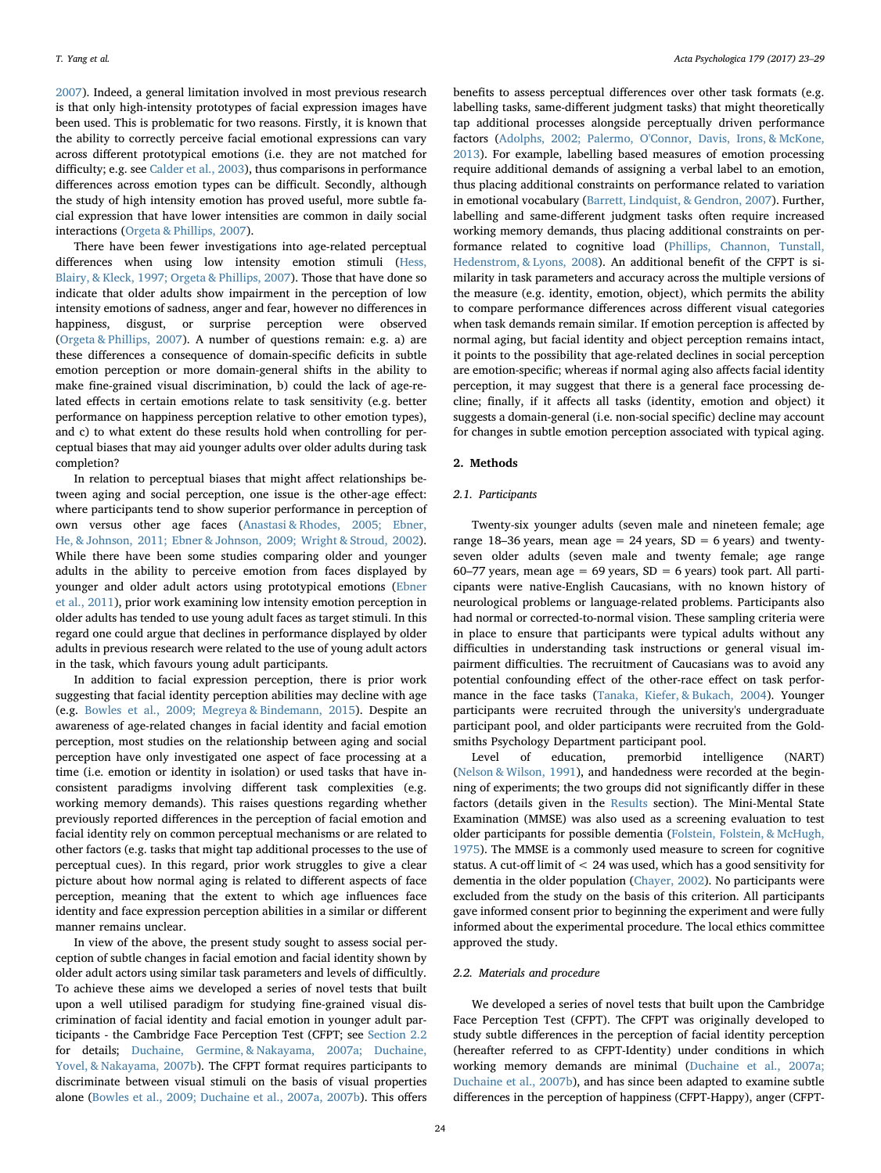[2007\)](#page-5-0). Indeed, a general limitation involved in most previous research is that only high-intensity prototypes of facial expression images have been used. This is problematic for two reasons. Firstly, it is known that the ability to correctly perceive facial emotional expressions can vary across different prototypical emotions (i.e. they are not matched for difficulty; e.g. see [Calder et al., 2003](#page-5-1)), thus comparisons in performance differences across emotion types can be difficult. Secondly, although the study of high intensity emotion has proved useful, more subtle facial expression that have lower intensities are common in daily social interactions ([Orgeta & Phillips, 2007\)](#page-6-6).

There have been fewer investigations into age-related perceptual differences when using low intensity emotion stimuli [\(Hess,](#page-6-7) [Blairy, & Kleck, 1997; Orgeta & Phillips, 2007\)](#page-6-7). Those that have done so indicate that older adults show impairment in the perception of low intensity emotions of sadness, anger and fear, however no differences in happiness, disgust, or surprise perception were observed ([Orgeta & Phillips, 2007](#page-6-6)). A number of questions remain: e.g. a) are these differences a consequence of domain-specific deficits in subtle emotion perception or more domain-general shifts in the ability to make fine-grained visual discrimination, b) could the lack of age-related effects in certain emotions relate to task sensitivity (e.g. better performance on happiness perception relative to other emotion types), and c) to what extent do these results hold when controlling for perceptual biases that may aid younger adults over older adults during task completion?

In relation to perceptual biases that might affect relationships between aging and social perception, one issue is the other-age effect: where participants tend to show superior performance in perception of own versus other age faces [\(Anastasi & Rhodes, 2005; Ebner,](#page-5-2) [He, & Johnson, 2011; Ebner & Johnson, 2009; Wright & Stroud, 2002](#page-5-2)). While there have been some studies comparing older and younger adults in the ability to perceive emotion from faces displayed by younger and older adult actors using prototypical emotions [\(Ebner](#page-6-8) [et al., 2011](#page-6-8)), prior work examining low intensity emotion perception in older adults has tended to use young adult faces as target stimuli. In this regard one could argue that declines in performance displayed by older adults in previous research were related to the use of young adult actors in the task, which favours young adult participants.

In addition to facial expression perception, there is prior work suggesting that facial identity perception abilities may decline with age (e.g. [Bowles et al., 2009; Megreya & Bindemann, 2015](#page-5-3)). Despite an awareness of age-related changes in facial identity and facial emotion perception, most studies on the relationship between aging and social perception have only investigated one aspect of face processing at a time (i.e. emotion or identity in isolation) or used tasks that have inconsistent paradigms involving different task complexities (e.g. working memory demands). This raises questions regarding whether previously reported differences in the perception of facial emotion and facial identity rely on common perceptual mechanisms or are related to other factors (e.g. tasks that might tap additional processes to the use of perceptual cues). In this regard, prior work struggles to give a clear picture about how normal aging is related to different aspects of face perception, meaning that the extent to which age influences face identity and face expression perception abilities in a similar or different manner remains unclear.

In view of the above, the present study sought to assess social perception of subtle changes in facial emotion and facial identity shown by older adult actors using similar task parameters and levels of difficultly. To achieve these aims we developed a series of novel tests that built upon a well utilised paradigm for studying fine-grained visual discrimination of facial identity and facial emotion in younger adult participants - the Cambridge Face Perception Test (CFPT; see [Section 2.2](#page-1-0) for details; [Duchaine, Germine, & Nakayama, 2007a; Duchaine,](#page-6-9) [Yovel, & Nakayama, 2007b](#page-6-9)). The CFPT format requires participants to discriminate between visual stimuli on the basis of visual properties alone [\(Bowles et al., 2009; Duchaine et al., 2007a, 2007b](#page-5-3)). This offers

benefits to assess perceptual differences over other task formats (e.g. labelling tasks, same-different judgment tasks) that might theoretically tap additional processes alongside perceptually driven performance factors ([Adolphs, 2002; Palermo, O'Connor, Davis, Irons, & McKone,](#page-5-4) [2013\)](#page-5-4). For example, labelling based measures of emotion processing require additional demands of assigning a verbal label to an emotion, thus placing additional constraints on performance related to variation in emotional vocabulary ([Barrett, Lindquist, & Gendron, 2007\)](#page-5-5). Further, labelling and same-different judgment tasks often require increased working memory demands, thus placing additional constraints on performance related to cognitive load [\(Phillips, Channon, Tunstall,](#page-6-10) [Hedenstrom, & Lyons, 2008](#page-6-10)). An additional benefit of the CFPT is similarity in task parameters and accuracy across the multiple versions of the measure (e.g. identity, emotion, object), which permits the ability to compare performance differences across different visual categories when task demands remain similar. If emotion perception is affected by normal aging, but facial identity and object perception remains intact, it points to the possibility that age-related declines in social perception are emotion-specific; whereas if normal aging also affects facial identity perception, it may suggest that there is a general face processing decline; finally, if it affects all tasks (identity, emotion and object) it suggests a domain-general (i.e. non-social specific) decline may account for changes in subtle emotion perception associated with typical aging.

#### 2. Methods

#### 2.1. Participants

Twenty-six younger adults (seven male and nineteen female; age range 18–36 years, mean age = 24 years,  $SD = 6$  years) and twentyseven older adults (seven male and twenty female; age range 60–77 years, mean age = 69 years,  $SD = 6$  years) took part. All participants were native-English Caucasians, with no known history of neurological problems or language-related problems. Participants also had normal or corrected-to-normal vision. These sampling criteria were in place to ensure that participants were typical adults without any difficulties in understanding task instructions or general visual impairment difficulties. The recruitment of Caucasians was to avoid any potential confounding effect of the other-race effect on task performance in the face tasks ([Tanaka, Kiefer, & Bukach, 2004\)](#page-6-11). Younger participants were recruited through the university's undergraduate participant pool, and older participants were recruited from the Goldsmiths Psychology Department participant pool.

Level of education, premorbid intelligence (NART) ([Nelson & Wilson, 1991\)](#page-6-12), and handedness were recorded at the beginning of experiments; the two groups did not significantly differ in these factors (details given in the [Results](#page-2-0) section). The Mini-Mental State Examination (MMSE) was also used as a screening evaluation to test older participants for possible dementia [\(Folstein, Folstein, & McHugh,](#page-6-13) [1975\)](#page-6-13). The MMSE is a commonly used measure to screen for cognitive status. A cut-off limit of < 24 was used, which has a good sensitivity for dementia in the older population ([Chayer, 2002](#page-6-14)). No participants were excluded from the study on the basis of this criterion. All participants gave informed consent prior to beginning the experiment and were fully informed about the experimental procedure. The local ethics committee approved the study.

### <span id="page-1-0"></span>2.2. Materials and procedure

We developed a series of novel tests that built upon the Cambridge Face Perception Test (CFPT). The CFPT was originally developed to study subtle differences in the perception of facial identity perception (hereafter referred to as CFPT-Identity) under conditions in which working memory demands are minimal ([Duchaine et al., 2007a;](#page-6-9) [Duchaine et al., 2007b](#page-6-9)), and has since been adapted to examine subtle differences in the perception of happiness (CFPT-Happy), anger (CFPT-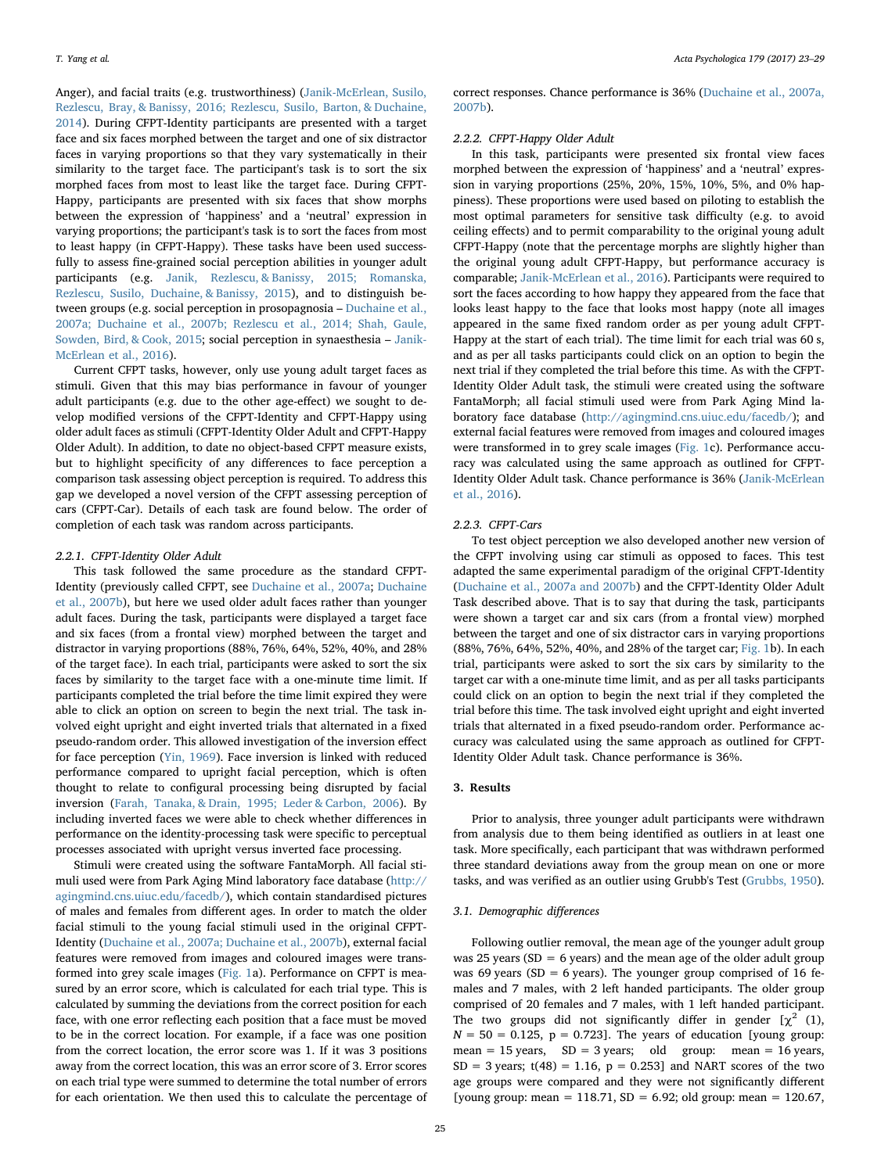Anger), and facial traits (e.g. trustworthiness) ([Janik-McErlean, Susilo,](#page-6-15) [Rezlescu, Bray, & Banissy, 2016; Rezlescu, Susilo, Barton, & Duchaine,](#page-6-15) [2014\)](#page-6-15). During CFPT-Identity participants are presented with a target face and six faces morphed between the target and one of six distractor faces in varying proportions so that they vary systematically in their similarity to the target face. The participant's task is to sort the six morphed faces from most to least like the target face. During CFPT-Happy, participants are presented with six faces that show morphs between the expression of 'happiness' and a 'neutral' expression in varying proportions; the participant's task is to sort the faces from most to least happy (in CFPT-Happy). These tasks have been used successfully to assess fine-grained social perception abilities in younger adult participants (e.g. [Janik, Rezlescu, & Banissy, 2015; Romanska,](#page-6-16) [Rezlescu, Susilo, Duchaine, & Banissy, 2015\)](#page-6-16), and to distinguish between groups (e.g. social perception in prosopagnosia – [Duchaine et al.,](#page-6-9) [2007a; Duchaine et al., 2007b; Rezlescu et al., 2014; Shah, Gaule,](#page-6-9) [Sowden, Bird, & Cook, 2015;](#page-6-9) social perception in synaesthesia – [Janik-](#page-6-15)[McErlean et al., 2016](#page-6-15)).

Current CFPT tasks, however, only use young adult target faces as stimuli. Given that this may bias performance in favour of younger adult participants (e.g. due to the other age-effect) we sought to develop modified versions of the CFPT-Identity and CFPT-Happy using older adult faces as stimuli (CFPT-Identity Older Adult and CFPT-Happy Older Adult). In addition, to date no object-based CFPT measure exists, but to highlight specificity of any differences to face perception a comparison task assessing object perception is required. To address this gap we developed a novel version of the CFPT assessing perception of cars (CFPT-Car). Details of each task are found below. The order of completion of each task was random across participants.

## 2.2.1. CFPT-Identity Older Adult

This task followed the same procedure as the standard CFPT-Identity (previously called CFPT, see [Duchaine et al., 2007a;](#page-6-9) [Duchaine](#page-6-17) [et al., 2007b\)](#page-6-17), but here we used older adult faces rather than younger adult faces. During the task, participants were displayed a target face and six faces (from a frontal view) morphed between the target and distractor in varying proportions (88%, 76%, 64%, 52%, 40%, and 28% of the target face). In each trial, participants were asked to sort the six faces by similarity to the target face with a one-minute time limit. If participants completed the trial before the time limit expired they were able to click an option on screen to begin the next trial. The task involved eight upright and eight inverted trials that alternated in a fixed pseudo-random order. This allowed investigation of the inversion effect for face perception [\(Yin, 1969](#page-6-18)). Face inversion is linked with reduced performance compared to upright facial perception, which is often thought to relate to configural processing being disrupted by facial inversion ([Farah, Tanaka, & Drain, 1995; Leder & Carbon, 2006](#page-6-19)). By including inverted faces we were able to check whether differences in performance on the identity-processing task were specific to perceptual processes associated with upright versus inverted face processing.

Stimuli were created using the software FantaMorph. All facial stimuli used were from Park Aging Mind laboratory face database [\(http://](http://agingmind.cns.uiuc.edu/facedb) [agingmind.cns.uiuc.edu/facedb/](http://agingmind.cns.uiuc.edu/facedb)), which contain standardised pictures of males and females from different ages. In order to match the older facial stimuli to the young facial stimuli used in the original CFPT-Identity [\(Duchaine et al., 2007a; Duchaine et al., 2007b\)](#page-6-9), external facial features were removed from images and coloured images were transformed into grey scale images [\(Fig. 1a](#page-3-0)). Performance on CFPT is measured by an error score, which is calculated for each trial type. This is calculated by summing the deviations from the correct position for each face, with one error reflecting each position that a face must be moved to be in the correct location. For example, if a face was one position from the correct location, the error score was 1. If it was 3 positions away from the correct location, this was an error score of 3. Error scores on each trial type were summed to determine the total number of errors for each orientation. We then used this to calculate the percentage of

correct responses. Chance performance is 36% ([Duchaine et al., 2007a,](#page-6-9) [2007b\)](#page-6-9).

### 2.2.2. CFPT-Happy Older Adult

In this task, participants were presented six frontal view faces morphed between the expression of 'happiness' and a 'neutral' expression in varying proportions (25%, 20%, 15%, 10%, 5%, and 0% happiness). These proportions were used based on piloting to establish the most optimal parameters for sensitive task difficulty (e.g. to avoid ceiling effects) and to permit comparability to the original young adult CFPT-Happy (note that the percentage morphs are slightly higher than the original young adult CFPT-Happy, but performance accuracy is comparable; [Janik-McErlean et al., 2016](#page-6-15)). Participants were required to sort the faces according to how happy they appeared from the face that looks least happy to the face that looks most happy (note all images appeared in the same fixed random order as per young adult CFPT-Happy at the start of each trial). The time limit for each trial was 60 s, and as per all tasks participants could click on an option to begin the next trial if they completed the trial before this time. As with the CFPT-Identity Older Adult task, the stimuli were created using the software FantaMorph; all facial stimuli used were from Park Aging Mind laboratory face database [\(http://agingmind.cns.uiuc.edu/facedb/\)](http://agingmind.cns.uiuc.edu/facedb); and external facial features were removed from images and coloured images were transformed in to grey scale images ([Fig. 1](#page-3-0)c). Performance accuracy was calculated using the same approach as outlined for CFPT-Identity Older Adult task. Chance performance is 36% ([Janik-McErlean](#page-6-15) [et al., 2016](#page-6-15)).

#### 2.2.3. CFPT-Cars

To test object perception we also developed another new version of the CFPT involving using car stimuli as opposed to faces. This test adapted the same experimental paradigm of the original CFPT-Identity ([Duchaine et al., 2007a and 2007b](#page-6-9)) and the CFPT-Identity Older Adult Task described above. That is to say that during the task, participants were shown a target car and six cars (from a frontal view) morphed between the target and one of six distractor cars in varying proportions (88%, 76%, 64%, 52%, 40%, and 28% of the target car; [Fig. 1b](#page-3-0)). In each trial, participants were asked to sort the six cars by similarity to the target car with a one-minute time limit, and as per all tasks participants could click on an option to begin the next trial if they completed the trial before this time. The task involved eight upright and eight inverted trials that alternated in a fixed pseudo-random order. Performance accuracy was calculated using the same approach as outlined for CFPT-Identity Older Adult task. Chance performance is 36%.

# <span id="page-2-0"></span>3. Results

Prior to analysis, three younger adult participants were withdrawn from analysis due to them being identified as outliers in at least one task. More specifically, each participant that was withdrawn performed three standard deviations away from the group mean on one or more tasks, and was verified as an outlier using Grubb's Test ([Grubbs,](#page-6-20) 1950).

#### 3.1. Demographic differences

Following outlier removal, the mean age of the younger adult group was 25 years ( $SD = 6$  years) and the mean age of the older adult group was 69 years (SD = 6 years). The younger group comprised of 16 females and 7 males, with 2 left handed participants. The older group comprised of 20 females and 7 males, with 1 left handed participant. The two groups did not significantly differ in gender  $[\chi^2 \; (1),$  $N = 50 = 0.125$ ,  $p = 0.723$ . The years of education [young group: mean = 15 years,  $SD = 3$  years; old group: mean = 16 years,  $SD = 3$  years;  $t(48) = 1.16$ ,  $p = 0.253$  and NART scores of the two age groups were compared and they were not significantly different [young group: mean =  $118.71$ , SD =  $6.92$ ; old group: mean =  $120.67$ ,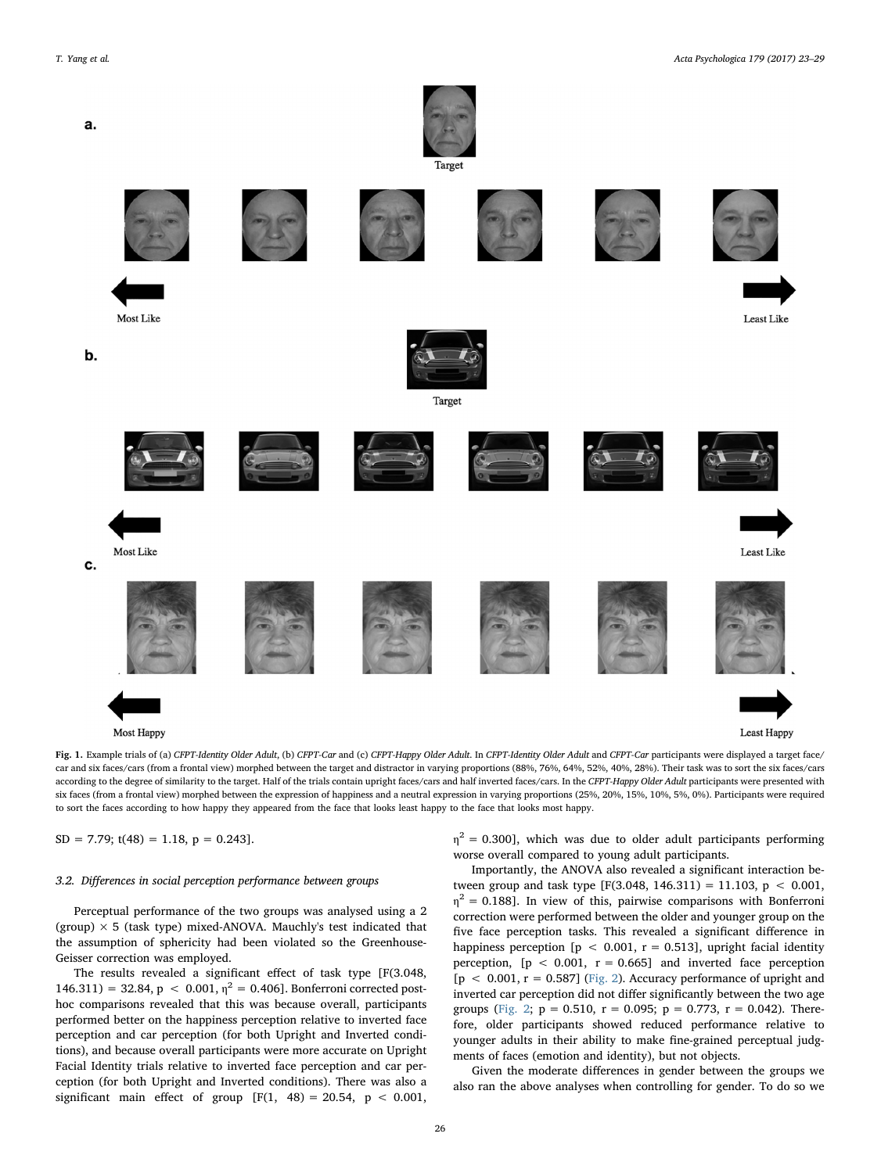<span id="page-3-0"></span>

Fig. 1. Example trials of (a) CFPT-Identity Older Adult, (b) CFPT-Car and (c) CFPT-Happy Older Adult. In CFPT-Identity Older Adult and CFPT-Car participants were displayed a target face/ car and six faces/cars (from a frontal view) morphed between the target and distractor in varying proportions (88%, 76%, 64%, 52%, 40%, 28%). Their task was to sort the six faces/cars according to the degree of similarity to the target. Half of the trials contain upright faces/cars and half inverted faces/cars. In the CFPT-Happy Older Adult participants were presented with six faces (from a frontal view) morphed between the expression of happiness and a neutral expression in varying proportions (25%, 20%, 15%, 10%, 5%, 0%). Participants were required to sort the faces according to how happy they appeared from the face that looks least happy to the face that looks most happy.

 $SD = 7.79$ ;  $t(48) = 1.18$ ,  $p = 0.243$ ].

#### 3.2. Differences in social perception performance between groups

Perceptual performance of the two groups was analysed using a 2 (group)  $\times$  5 (task type) mixed-ANOVA. Mauchly's test indicated that the assumption of sphericity had been violated so the Greenhouse-Geisser correction was employed.

The results revealed a significant effect of task type [F(3.048,  $146.311$ ) = 32.84, p < 0.001,  $\eta^2$  = 0.406]. Bonferroni corrected posthoc comparisons revealed that this was because overall, participants performed better on the happiness perception relative to inverted face perception and car perception (for both Upright and Inverted conditions), and because overall participants were more accurate on Upright Facial Identity trials relative to inverted face perception and car perception (for both Upright and Inverted conditions). There was also a significant main effect of group  $[F(1, 48) = 20.54, p < 0.001,$ 

 $\eta^2$  = 0.300], which was due to older adult participants performing worse overall compared to young adult participants.

Importantly, the ANOVA also revealed a significant interaction between group and task type [F(3.048, 146.311) = 11.103,  $p < 0.001$ ,  $\eta^2$  = 0.188]. In view of this, pairwise comparisons with Bonferroni correction were performed between the older and younger group on the five face perception tasks. This revealed a significant difference in happiness perception  $[p < 0.001, r = 0.513]$ , upright facial identity perception,  $[p < 0.001, r = 0.665]$  and inverted face perception  $[p < 0.001, r = 0.587]$  [\(Fig. 2](#page-4-0)). Accuracy performance of upright and inverted car perception did not differ significantly between the two age groups [\(Fig. 2](#page-4-0);  $p = 0.510$ ,  $r = 0.095$ ;  $p = 0.773$ ,  $r = 0.042$ ). Therefore, older participants showed reduced performance relative to younger adults in their ability to make fine-grained perceptual judgments of faces (emotion and identity), but not objects.

Given the moderate differences in gender between the groups we also ran the above analyses when controlling for gender. To do so we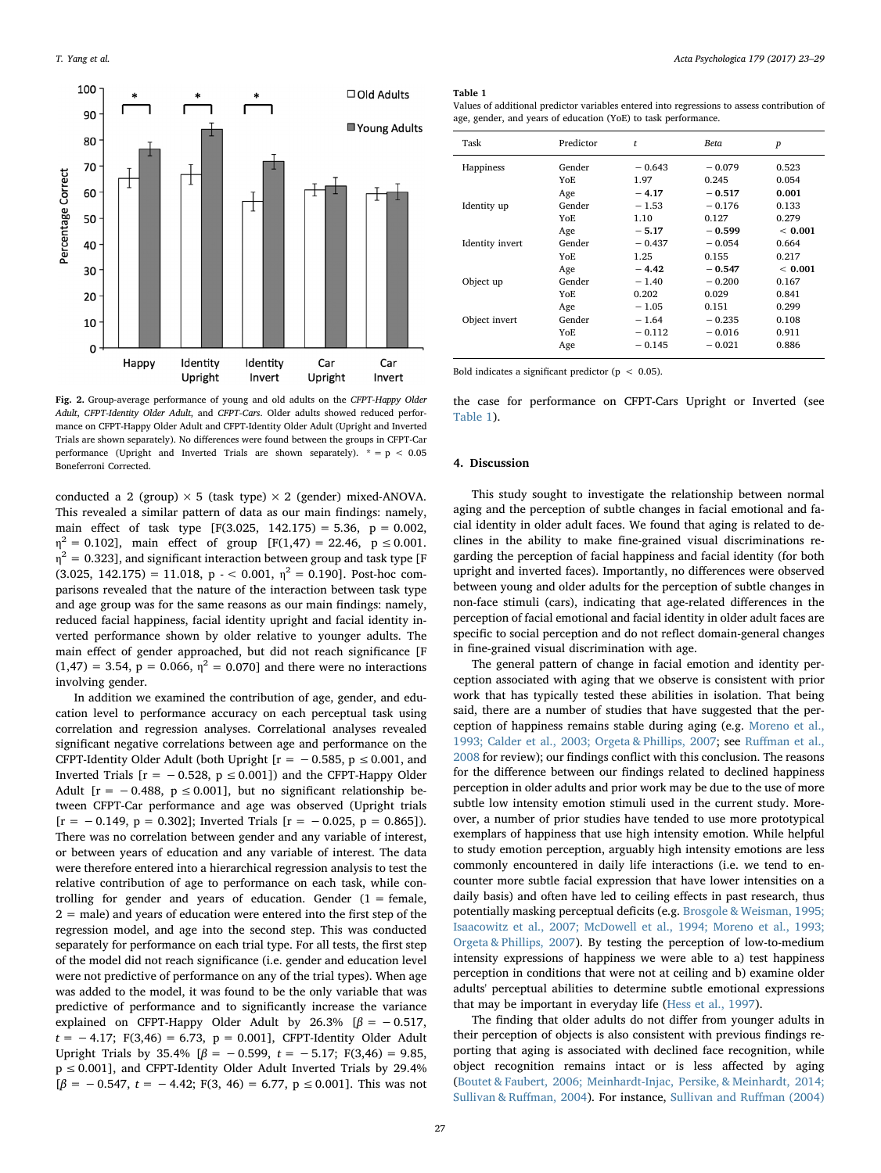<span id="page-4-0"></span>

Fig. 2. Group-average performance of young and old adults on the CFPT-Happy Older Adult, CFPT-Identity Older Adult, and CFPT-Cars. Older adults showed reduced performance on CFPT-Happy Older Adult and CFPT-Identity Older Adult (Upright and Inverted Trials are shown separately). No differences were found between the groups in CFPT-Car performance (Upright and Inverted Trials are shown separately).  $* = p < 0.05$ Boneferroni Corrected.

conducted a 2 (group)  $\times$  5 (task type)  $\times$  2 (gender) mixed-ANOVA. This revealed a similar pattern of data as our main findings: namely, main effect of task type  $[F(3.025, 142.175) = 5.36, p = 0.002,$  $\eta^2 = 0.102$ ], main effect of group [F(1,47) = 22.46, p  $\leq 0.001$ .  $\eta^2$  = 0.323], and significant interaction between group and task type [F  $(3.025, 142.175) = 11.018$ ,  $p \sim 0.001$ ,  $n^2 = 0.190$ . Post-hoc comparisons revealed that the nature of the interaction between task type and age group was for the same reasons as our main findings: namely, reduced facial happiness, facial identity upright and facial identity inverted performance shown by older relative to younger adults. The main effect of gender approached, but did not reach significance [F  $(1,47) = 3.54$ ,  $p = 0.066$ ,  $\eta^2 = 0.070$ ] and there were no interactions involving gender.

In addition we examined the contribution of age, gender, and education level to performance accuracy on each perceptual task using correlation and regression analyses. Correlational analyses revealed significant negative correlations between age and performance on the CFPT-Identity Older Adult (both Upright [ $r = -0.585$ ,  $p \le 0.001$ , and Inverted Trials  $[r = -0.528, p \le 0.001]$  and the CFPT-Happy Older Adult  $[r = -0.488, p \le 0.001]$ , but no significant relationship between CFPT-Car performance and age was observed (Upright trials  $[r = -0.149, p = 0.302]$ ; Inverted Trials  $[r = -0.025, p = 0.865]$ ). There was no correlation between gender and any variable of interest, or between years of education and any variable of interest. The data were therefore entered into a hierarchical regression analysis to test the relative contribution of age to performance on each task, while controlling for gender and years of education. Gender  $(1 =$  female, 2 = male) and years of education were entered into the first step of the regression model, and age into the second step. This was conducted separately for performance on each trial type. For all tests, the first step of the model did not reach significance (i.e. gender and education level were not predictive of performance on any of the trial types). When age was added to the model, it was found to be the only variable that was predictive of performance and to significantly increase the variance explained on CFPT-Happy Older Adult by 26.3%  $[\beta = -0.517,$  $t = -4.17$ ; F(3,46) = 6.73, p = 0.001], CFPT-Identity Older Adult Upright Trials by 35.4%  $[\beta = -0.599, t = -5.17; F(3,46) = 9.85,$  $p \le 0.001$ ], and CFPT-Identity Older Adult Inverted Trials by 29.4%  $[\beta = -0.547, t = -4.42; F(3, 46) = 6.77, p \le 0.001]$ . This was not

#### <span id="page-4-1"></span>Table 1

Values of additional predictor variables entered into regressions to assess contribution of age, gender, and years of education (YoE) to task performance.

| Task                   | Predictor | t        | Beta     | $\boldsymbol{p}$ |
|------------------------|-----------|----------|----------|------------------|
| Happiness              | Gender    | $-0.643$ | $-0.079$ | 0.523            |
|                        | YoE.      | 1.97     | 0.245    | 0.054            |
|                        | Age       | $-4.17$  | $-0.517$ | 0.001            |
| Identity up            | Gender    | $-1.53$  | $-0.176$ | 0.133            |
|                        | YoE.      | 1.10     | 0.127    | 0.279            |
|                        | Age       | $-5.17$  | $-0.599$ | < 0.001          |
| <b>Identity</b> invert | Gender    | $-0.437$ | $-0.054$ | 0.664            |
|                        | YoE.      | 1.25     | 0.155    | 0.217            |
|                        | Age       | $-4.42$  | $-0.547$ | < 0.001          |
| Object up              | Gender    | $-1.40$  | $-0.200$ | 0.167            |
|                        | YoE.      | 0.202    | 0.029    | 0.841            |
|                        | Age       | $-1.05$  | 0.151    | 0.299            |
| Object invert          | Gender    | $-1.64$  | $-0.235$ | 0.108            |
|                        | YoE.      | $-0.112$ | $-0.016$ | 0.911            |
|                        | Age       | $-0.145$ | $-0.021$ | 0.886            |

Bold indicates a significant predictor ( $p < 0.05$ ).

the case for performance on CFPT-Cars Upright or Inverted (see [Table 1](#page-4-1)).

#### 4. Discussion

This study sought to investigate the relationship between normal aging and the perception of subtle changes in facial emotional and facial identity in older adult faces. We found that aging is related to declines in the ability to make fine-grained visual discriminations regarding the perception of facial happiness and facial identity (for both upright and inverted faces). Importantly, no differences were observed between young and older adults for the perception of subtle changes in non-face stimuli (cars), indicating that age-related differences in the perception of facial emotional and facial identity in older adult faces are specific to social perception and do not reflect domain-general changes in fine-grained visual discrimination with age.

The general pattern of change in facial emotion and identity perception associated with aging that we observe is consistent with prior work that has typically tested these abilities in isolation. That being said, there are a number of studies that have suggested that the perception of happiness remains stable during aging (e.g. [Moreno et al.,](#page-6-21) [1993; Calder et al., 2003; Orgeta & Phillips, 2007;](#page-6-21) see Ruff[man et al.,](#page-6-0) [2008](#page-6-0) for review); our findings conflict with this conclusion. The reasons for the difference between our findings related to declined happiness perception in older adults and prior work may be due to the use of more subtle low intensity emotion stimuli used in the current study. Moreover, a number of prior studies have tended to use more prototypical exemplars of happiness that use high intensity emotion. While helpful to study emotion perception, arguably high intensity emotions are less commonly encountered in daily life interactions (i.e. we tend to encounter more subtle facial expression that have lower intensities on a daily basis) and often have led to ceiling effects in past research, thus potentially masking perceptual deficits (e.g. [Brosgole & Weisman, 1995;](#page-5-0) [Isaacowitz et al., 2007; McDowell et al., 1994; Moreno et al., 1993;](#page-5-0) [Orgeta & Phillips, 2007](#page-5-0)). By testing the perception of low-to-medium intensity expressions of happiness we were able to a) test happiness perception in conditions that were not at ceiling and b) examine older adults' perceptual abilities to determine subtle emotional expressions that may be important in everyday life [\(Hess et al., 1997\)](#page-6-7).

The finding that older adults do not differ from younger adults in their perception of objects is also consistent with previous findings reporting that aging is associated with declined face recognition, while object recognition remains intact or is less affected by aging ([Boutet & Faubert, 2006; Meinhardt-Injac, Persike, & Meinhardt, 2014;](#page-5-6) [Sullivan & Ru](#page-5-6)ffman, 2004). For instance, [Sullivan and Ru](#page-6-22)ffman (2004)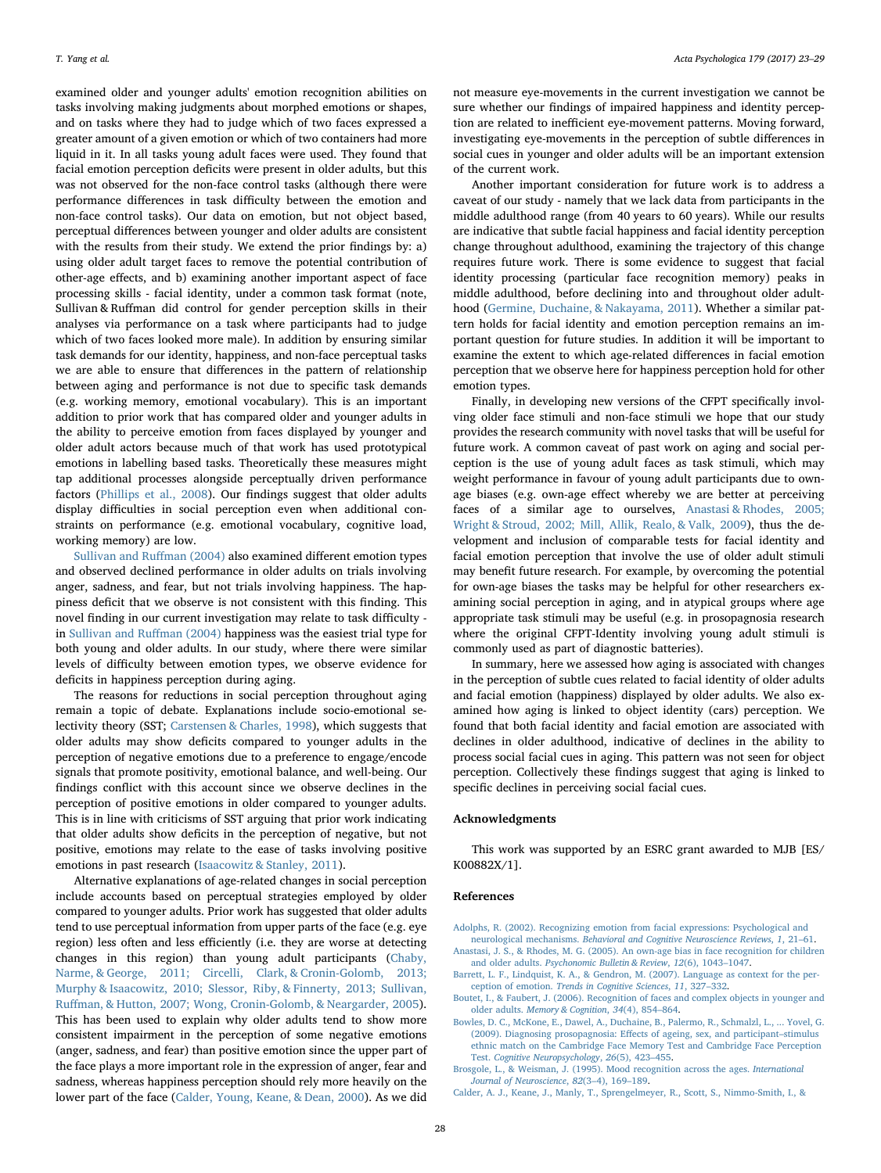examined older and younger adults' emotion recognition abilities on tasks involving making judgments about morphed emotions or shapes, and on tasks where they had to judge which of two faces expressed a greater amount of a given emotion or which of two containers had more liquid in it. In all tasks young adult faces were used. They found that facial emotion perception deficits were present in older adults, but this was not observed for the non-face control tasks (although there were performance differences in task difficulty between the emotion and non-face control tasks). Our data on emotion, but not object based, perceptual differences between younger and older adults are consistent with the results from their study. We extend the prior findings by: a) using older adult target faces to remove the potential contribution of other-age effects, and b) examining another important aspect of face processing skills - facial identity, under a common task format (note, Sullivan & Ruffman did control for gender perception skills in their analyses via performance on a task where participants had to judge which of two faces looked more male). In addition by ensuring similar task demands for our identity, happiness, and non-face perceptual tasks we are able to ensure that differences in the pattern of relationship between aging and performance is not due to specific task demands (e.g. working memory, emotional vocabulary). This is an important addition to prior work that has compared older and younger adults in the ability to perceive emotion from faces displayed by younger and older adult actors because much of that work has used prototypical emotions in labelling based tasks. Theoretically these measures might tap additional processes alongside perceptually driven performance factors ([Phillips et al., 2008\)](#page-6-10). Our findings suggest that older adults display difficulties in social perception even when additional constraints on performance (e.g. emotional vocabulary, cognitive load, working memory) are low.

[Sullivan and Ru](#page-6-22)ffman (2004) also examined different emotion types and observed declined performance in older adults on trials involving anger, sadness, and fear, but not trials involving happiness. The happiness deficit that we observe is not consistent with this finding. This novel finding in our current investigation may relate to task difficulty in [Sullivan and Ru](#page-6-22)ffman (2004) happiness was the easiest trial type for both young and older adults. In our study, where there were similar levels of difficulty between emotion types, we observe evidence for deficits in happiness perception during aging.

The reasons for reductions in social perception throughout aging remain a topic of debate. Explanations include socio-emotional selectivity theory (SST; [Carstensen & Charles, 1998](#page-6-5)), which suggests that older adults may show deficits compared to younger adults in the perception of negative emotions due to a preference to engage/encode signals that promote positivity, emotional balance, and well-being. Our findings conflict with this account since we observe declines in the perception of positive emotions in older compared to younger adults. This is in line with criticisms of SST arguing that prior work indicating that older adults show deficits in the perception of negative, but not positive, emotions may relate to the ease of tasks involving positive emotions in past research [\(Isaacowitz & Stanley, 2011\)](#page-6-23).

Alternative explanations of age-related changes in social perception include accounts based on perceptual strategies employed by older compared to younger adults. Prior work has suggested that older adults tend to use perceptual information from upper parts of the face (e.g. eye region) less often and less efficiently (i.e. they are worse at detecting changes in this region) than young adult participants [\(Chaby,](#page-6-24) [Narme, & George, 2011; Circelli, Clark, & Cronin-Golomb, 2013;](#page-6-24) [Murphy & Isaacowitz, 2010; Slessor, Riby, & Finnerty, 2013; Sullivan,](#page-6-24) Ruff[man, & Hutton, 2007; Wong, Cronin-Golomb, & Neargarder, 2005](#page-6-24)). This has been used to explain why older adults tend to show more consistent impairment in the perception of some negative emotions (anger, sadness, and fear) than positive emotion since the upper part of the face plays a more important role in the expression of anger, fear and sadness, whereas happiness perception should rely more heavily on the lower part of the face ([Calder, Young, Keane, & Dean, 2000](#page-6-25)). As we did

not measure eye-movements in the current investigation we cannot be sure whether our findings of impaired happiness and identity perception are related to inefficient eye-movement patterns. Moving forward, investigating eye-movements in the perception of subtle differences in social cues in younger and older adults will be an important extension of the current work.

Another important consideration for future work is to address a caveat of our study - namely that we lack data from participants in the middle adulthood range (from 40 years to 60 years). While our results are indicative that subtle facial happiness and facial identity perception change throughout adulthood, examining the trajectory of this change requires future work. There is some evidence to suggest that facial identity processing (particular face recognition memory) peaks in middle adulthood, before declining into and throughout older adulthood ([Germine, Duchaine, & Nakayama, 2011](#page-6-26)). Whether a similar pattern holds for facial identity and emotion perception remains an important question for future studies. In addition it will be important to examine the extent to which age-related differences in facial emotion perception that we observe here for happiness perception hold for other emotion types.

Finally, in developing new versions of the CFPT specifically involving older face stimuli and non-face stimuli we hope that our study provides the research community with novel tasks that will be useful for future work. A common caveat of past work on aging and social perception is the use of young adult faces as task stimuli, which may weight performance in favour of young adult participants due to ownage biases (e.g. own-age effect whereby we are better at perceiving faces of a similar age to ourselves, [Anastasi & Rhodes, 2005;](#page-5-2) [Wright & Stroud, 2002; Mill, Allik, Realo, & Valk, 2009](#page-5-2)), thus the development and inclusion of comparable tests for facial identity and facial emotion perception that involve the use of older adult stimuli may benefit future research. For example, by overcoming the potential for own-age biases the tasks may be helpful for other researchers examining social perception in aging, and in atypical groups where age appropriate task stimuli may be useful (e.g. in prosopagnosia research where the original CFPT-Identity involving young adult stimuli is commonly used as part of diagnostic batteries).

In summary, here we assessed how aging is associated with changes in the perception of subtle cues related to facial identity of older adults and facial emotion (happiness) displayed by older adults. We also examined how aging is linked to object identity (cars) perception. We found that both facial identity and facial emotion are associated with declines in older adulthood, indicative of declines in the ability to process social facial cues in aging. This pattern was not seen for object perception. Collectively these findings suggest that aging is linked to specific declines in perceiving social facial cues.

#### Acknowledgments

This work was supported by an ESRC grant awarded to MJB [ES/ K00882X/1].

#### References

- <span id="page-5-4"></span>[Adolphs, R. \(2002\). Recognizing emotion from facial expressions: Psychological and](http://refhub.elsevier.com/S0001-6918(16)30222-0/rf0005) neurological mechanisms. [Behavioral and Cognitive Neuroscience Reviews](http://refhub.elsevier.com/S0001-6918(16)30222-0/rf0005), 1, 21–61.
- <span id="page-5-2"></span>[Anastasi, J. S., & Rhodes, M. G. \(2005\). An own-age bias in face recognition for children](http://refhub.elsevier.com/S0001-6918(16)30222-0/rf0010) and older adults. [Psychonomic Bulletin & Review](http://refhub.elsevier.com/S0001-6918(16)30222-0/rf0010), 12(6), 1043–1047.
- <span id="page-5-5"></span>[Barrett, L. F., Lindquist, K. A., & Gendron, M. \(2007\). Language as context for the per](http://refhub.elsevier.com/S0001-6918(16)30222-0/rf0015)ception of emotion. [Trends in Cognitive Sciences](http://refhub.elsevier.com/S0001-6918(16)30222-0/rf0015), 11, 327–332.
- <span id="page-5-6"></span>[Boutet, I., & Faubert, J. \(2006\). Recognition of faces and complex objects in younger and](http://refhub.elsevier.com/S0001-6918(16)30222-0/rf0020) older adults. [Memory & Cognition](http://refhub.elsevier.com/S0001-6918(16)30222-0/rf0020), 34(4), 854–864.
- <span id="page-5-3"></span>[Bowles, D. C., McKone, E., Dawel, A., Duchaine, B., Palermo, R., Schmalzl, L., ... Yovel, G.](http://refhub.elsevier.com/S0001-6918(16)30222-0/rf0025) [\(2009\). Diagnosing prosopagnosia: E](http://refhub.elsevier.com/S0001-6918(16)30222-0/rf0025)ffects of ageing, sex, and participant–stimulus [ethnic match on the Cambridge Face Memory Test and Cambridge Face Perception](http://refhub.elsevier.com/S0001-6918(16)30222-0/rf0025) Test. [Cognitive Neuropsychology](http://refhub.elsevier.com/S0001-6918(16)30222-0/rf0025), 26(5), 423–455.
- <span id="page-5-0"></span>[Brosgole, L., & Weisman, J. \(1995\). Mood recognition across the ages.](http://refhub.elsevier.com/S0001-6918(16)30222-0/rf0030) International [Journal of Neuroscience](http://refhub.elsevier.com/S0001-6918(16)30222-0/rf0030), 82(3–4), 169–189.
- <span id="page-5-1"></span>[Calder, A. J., Keane, J., Manly, T., Sprengelmeyer, R., Scott, S., Nimmo-Smith, I., &](http://refhub.elsevier.com/S0001-6918(16)30222-0/rf0040)